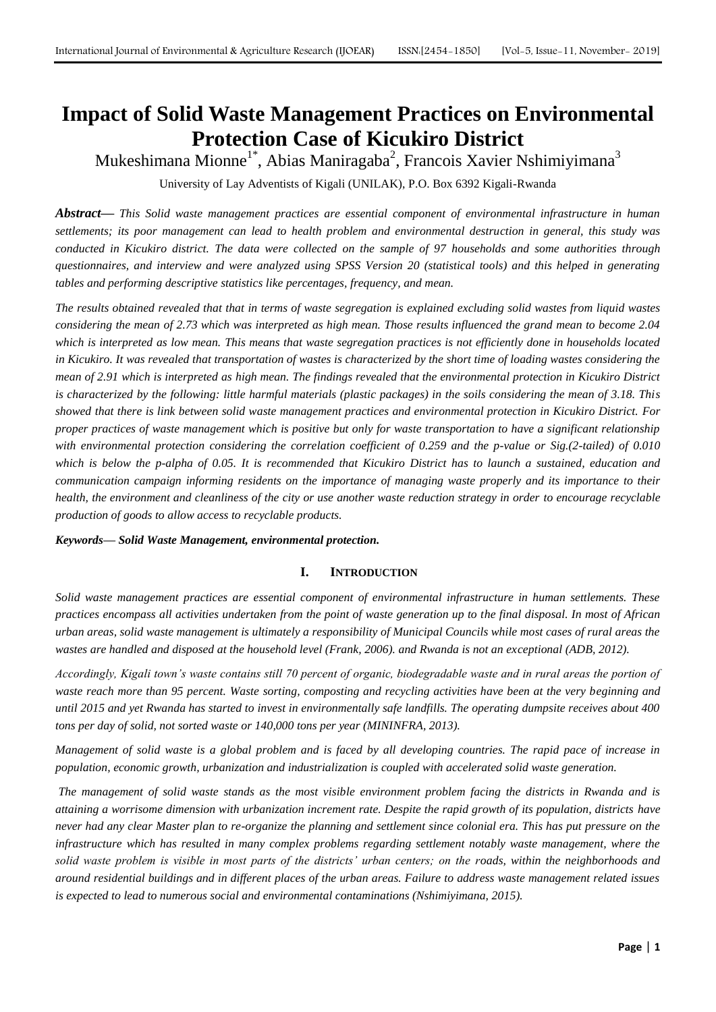# **Impact of Solid Waste Management Practices on Environmental Protection Case of Kicukiro District**

Mukeshimana Mionne<sup>1\*</sup>, Abias Maniragaba<sup>2</sup>, Francois Xavier Nshimiyimana<sup>3</sup>

University of Lay Adventists of Kigali (UNILAK), P.O. Box 6392 Kigali-Rwanda

*Abstract***—** *This Solid waste management practices are essential component of environmental infrastructure in human settlements; its poor management can lead to health problem and environmental destruction in general, this study was conducted in Kicukiro district. The data were collected on the sample of 97 households and some authorities through questionnaires, and interview and were analyzed using SPSS Version 20 (statistical tools) and this helped in generating tables and performing descriptive statistics like percentages, frequency, and mean.*

*The results obtained revealed that that in terms of waste segregation is explained excluding solid wastes from liquid wastes considering the mean of 2.73 which was interpreted as high mean. Those results influenced the grand mean to become 2.04 which is interpreted as low mean. This means that waste segregation practices is not efficiently done in households located in Kicukiro. It was revealed that transportation of wastes is characterized by the short time of loading wastes considering the mean of 2.91 which is interpreted as high mean. The findings revealed that the environmental protection in Kicukiro District is characterized by the following: little harmful materials (plastic packages) in the soils considering the mean of 3.18. This showed that there is link between solid waste management practices and environmental protection in Kicukiro District. For proper practices of waste management which is positive but only for waste transportation to have a significant relationship with environmental protection considering the correlation coefficient of 0.259 and the p-value or Sig.(2-tailed) of 0.010*  which is below the p-alpha of 0.05. It is recommended that Kicukiro District has to launch a sustained, education and *communication campaign informing residents on the importance of managing waste properly and its importance to their health, the environment and cleanliness of the city or use another waste reduction strategy in order to encourage recyclable production of goods to allow access to recyclable products.*

*Keywords***—** *Solid Waste Management, environmental protection.*

## **I. INTRODUCTION**

*Solid waste management practices are essential component of environmental infrastructure in human settlements. These practices encompass all activities undertaken from the point of waste generation up to the final disposal. In most of African urban areas, solid waste management is ultimately a responsibility of Municipal Councils while most cases of rural areas the wastes are handled and disposed at the household level (Frank, 2006). and Rwanda is not an exceptional (ADB, 2012).*

*Accordingly, Kigali town's waste contains still 70 percent of organic, biodegradable waste and in rural areas the portion of waste reach more than 95 percent. Waste sorting, composting and recycling activities have been at the very beginning and until 2015 and yet Rwanda has started to invest in environmentally safe landfills. The operating dumpsite receives about 400 tons per day of solid, not sorted waste or 140,000 tons per year (MININFRA, 2013).* 

*Management of solid waste is a global problem and is faced by all developing countries. The rapid pace of increase in population, economic growth, urbanization and industrialization is coupled with accelerated solid waste generation.* 

*The management of solid waste stands as the most visible environment problem facing the districts in Rwanda and is attaining a worrisome dimension with urbanization increment rate. Despite the rapid growth of its population, districts have never had any clear Master plan to re-organize the planning and settlement since colonial era. This has put pressure on the infrastructure which has resulted in many complex problems regarding settlement notably waste management, where the solid waste problem is visible in most parts of the districts' urban centers; on the roads, within the neighborhoods and around residential buildings and in different places of the urban areas. Failure to address waste management related issues is expected to lead to numerous social and environmental contaminations (Nshimiyimana, 2015).*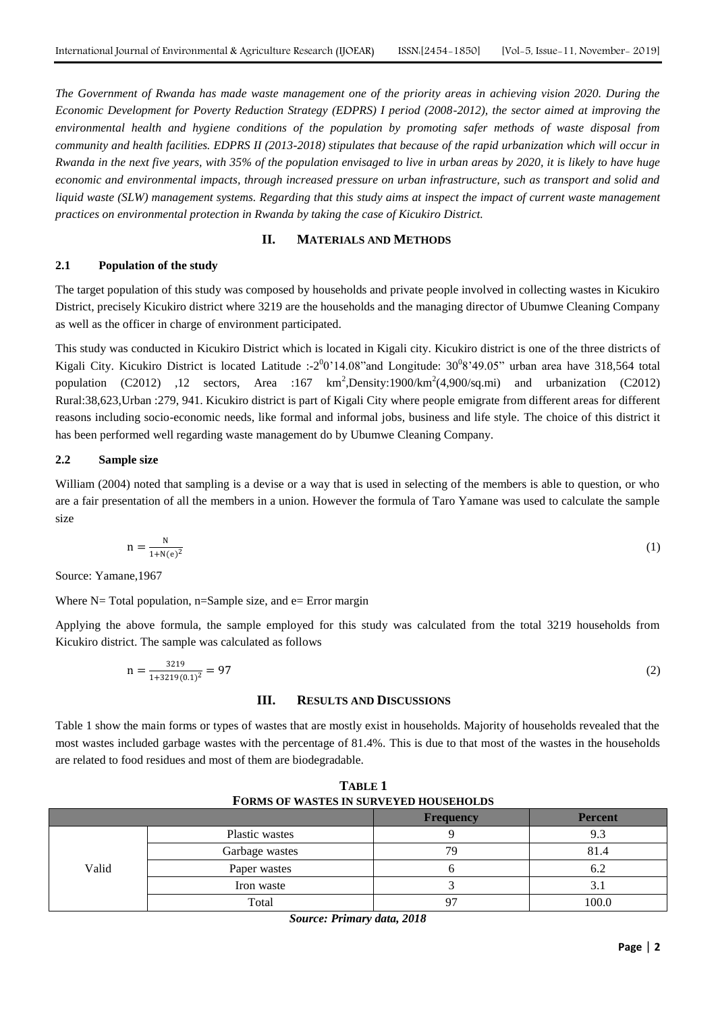*The Government of Rwanda has made waste management one of the priority areas in achieving vision 2020. During the Economic Development for Poverty Reduction Strategy (EDPRS) I period (2008-2012), the sector aimed at improving the environmental health and hygiene conditions of the population by promoting safer methods of waste disposal from community and health facilities. EDPRS II (2013-2018) stipulates that because of the rapid urbanization which will occur in Rwanda in the next five years, with 35% of the population envisaged to live in urban areas by 2020, it is likely to have huge economic and environmental impacts, through increased pressure on urban infrastructure, such as transport and solid and liquid waste (SLW) management systems. Regarding that this study aims at inspect the impact of current waste management practices on environmental protection in Rwanda by taking the case of Kicukiro District.*

#### **II. MATERIALS AND METHODS**

#### **2.1 Population of the study**

The target population of this study was composed by households and private people involved in collecting wastes in Kicukiro District, precisely Kicukiro district where 3219 are the households and the managing director of Ubumwe Cleaning Company as well as the officer in charge of environment participated.

This study was conducted in Kicukiro District which is located in Kigali city. Kicukiro district is one of the three districts of Kigali City. Kicukiro District is located Latitude :-2 $0$ '14.08" and Longitude: 30 $0$ 8'49.05" urban area have 318,564 total population  $(C2012)$  ,12 sectors, Area :167 km<sup>2</sup>, Density:1900/km<sup>2</sup>(4,900/sq.mi) and urbanization (C2012) Rural:38,623,Urban :279, 941. Kicukiro district is part of Kigali City where people emigrate from different areas for different reasons including socio-economic needs, like formal and informal jobs, business and life style. The choice of this district it has been performed well regarding waste management do by Ubumwe Cleaning Company.

#### **2.2 Sample size**

William (2004) noted that sampling is a devise or a way that is used in selecting of the members is able to question, or who are a fair presentation of all the members in a union. However the formula of Taro Yamane was used to calculate the sample size

$$
n = \frac{N}{1 + N(e)^2} \tag{1}
$$

Source: Yamane,1967

Where  $N=$  Total population, n=Sample size, and e= Error margin

Applying the above formula, the sample employed for this study was calculated from the total 3219 households from Kicukiro district. The sample was calculated as follows

$$
n = \frac{3219}{1 + 3219(0.1)^2} = 97\tag{2}
$$

#### **III. RESULTS AND DISCUSSIONS**

Table 1 show the main forms or types of wastes that are mostly exist in households. Majority of households revealed that the most wastes included garbage wastes with the percentage of 81.4%. This is due to that most of the wastes in the households are related to food residues and most of them are biodegradable.

| I ORMO OF WASTES IN SORVETED HOGSEHOLDS |                |                  |                |
|-----------------------------------------|----------------|------------------|----------------|
|                                         |                | <b>Frequency</b> | <b>Percent</b> |
|                                         | Plastic wastes |                  | 9.3            |
|                                         | Garbage wastes | 79               | 81.4           |
| Valid                                   | Paper wastes   |                  | 6.2            |
|                                         | Iron waste     |                  | 3.1            |
|                                         | Total          | 97               | 100.0          |

**TABLE 1 FORMS OF WASTES IN SURVEYED HOUSEHOLDS** 

*Source: Primary data, 2018*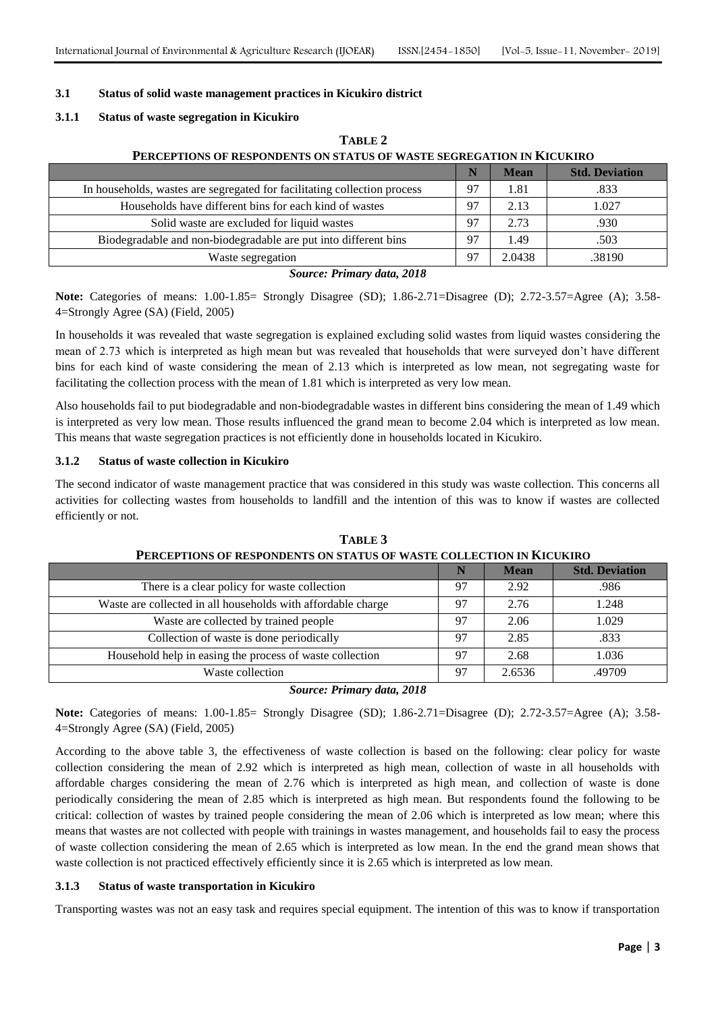#### **3.1 Status of solid waste management practices in Kicukiro district**

#### **3.1.1 Status of waste segregation in Kicukiro**

| PERCEPTIONS OF RESPONDENTS ON STATUS OF WASTE SEGREGATION IN KICUKIRO    |    |             |                       |
|--------------------------------------------------------------------------|----|-------------|-----------------------|
|                                                                          |    | <b>Mean</b> | <b>Std. Deviation</b> |
| In households, wastes are segregated for facilitating collection process | 97 | 1.81        | .833                  |
| Households have different bins for each kind of wastes                   | 97 | 2.13        | 1.027                 |
| Solid waste are excluded for liquid wastes                               | 97 | 2.73        | .930                  |
| Biodegradable and non-biodegradable are put into different bins          | 97 | 1.49        | .503                  |
| Waste segregation                                                        | 97 | 2.0438      | .38190                |

**TABLE 2**

*Source: Primary data, 2018*

**Note:** Categories of means: 1.00-1.85= Strongly Disagree (SD); 1.86-2.71=Disagree (D); 2.72-3.57=Agree (A); 3.58- 4=Strongly Agree (SA) (Field, 2005)

In households it was revealed that waste segregation is explained excluding solid wastes from liquid wastes considering the mean of 2.73 which is interpreted as high mean but was revealed that households that were surveyed don't have different bins for each kind of waste considering the mean of 2.13 which is interpreted as low mean, not segregating waste for facilitating the collection process with the mean of 1.81 which is interpreted as very low mean.

Also households fail to put biodegradable and non-biodegradable wastes in different bins considering the mean of 1.49 which is interpreted as very low mean. Those results influenced the grand mean to become 2.04 which is interpreted as low mean. This means that waste segregation practices is not efficiently done in households located in Kicukiro.

#### **3.1.2 Status of waste collection in Kicukiro**

The second indicator of waste management practice that was considered in this study was waste collection. This concerns all activities for collecting wastes from households to landfill and the intention of this was to know if wastes are collected efficiently or not.

|                                                              |    | <b>Mean</b> | <b>Std. Deviation</b> |
|--------------------------------------------------------------|----|-------------|-----------------------|
| There is a clear policy for waste collection                 | 97 | 2.92        | .986                  |
| Waste are collected in all households with affordable charge | 97 | 2.76        | 1.248                 |
| Waste are collected by trained people                        | 97 | 2.06        | 1.029                 |
| Collection of waste is done periodically                     | 97 | 2.85        | .833                  |
| Household help in easing the process of waste collection     | 97 | 2.68        | 1.036                 |
| Waste collection                                             | 97 | 2.6536      | .49709                |

**TABLE 3 PERCEPTIONS OF RESPONDENTS ON STATUS OF WASTE COLLECTION IN KICUKIRO**

#### *Source: Primary data, 2018*

**Note:** Categories of means: 1.00-1.85= Strongly Disagree (SD); 1.86-2.71=Disagree (D); 2.72-3.57=Agree (A); 3.58- 4=Strongly Agree (SA) (Field, 2005)

According to the above table 3, the effectiveness of waste collection is based on the following: clear policy for waste collection considering the mean of 2.92 which is interpreted as high mean, collection of waste in all households with affordable charges considering the mean of 2.76 which is interpreted as high mean, and collection of waste is done periodically considering the mean of 2.85 which is interpreted as high mean. But respondents found the following to be critical: collection of wastes by trained people considering the mean of 2.06 which is interpreted as low mean; where this means that wastes are not collected with people with trainings in wastes management, and households fail to easy the process of waste collection considering the mean of 2.65 which is interpreted as low mean. In the end the grand mean shows that waste collection is not practiced effectively efficiently since it is 2.65 which is interpreted as low mean.

#### **3.1.3 Status of waste transportation in Kicukiro**

Transporting wastes was not an easy task and requires special equipment. The intention of this was to know if transportation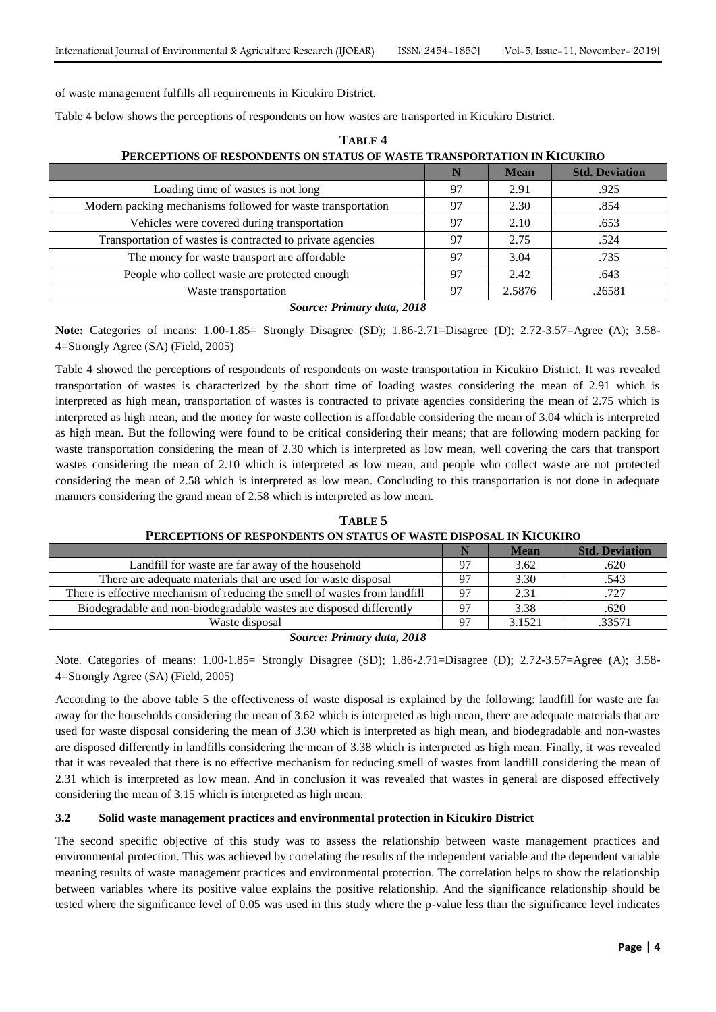of waste management fulfills all requirements in Kicukiro District.

Table 4 below shows the perceptions of respondents on how wastes are transported in Kicukiro District.

| PERCEPTIONS OF RESPONDENTS ON STATUS OF WASTE TRANSPORTATION IN KICUKIRO |     |             |                       |
|--------------------------------------------------------------------------|-----|-------------|-----------------------|
|                                                                          |     | <b>Mean</b> | <b>Std. Deviation</b> |
| Loading time of wastes is not long                                       | 97  | 2.91        | .925                  |
| Modern packing mechanisms followed for waste transportation              | 97  | 2.30        | .854                  |
| Vehicles were covered during transportation                              | 97  | 2.10        | .653                  |
| Transportation of wastes is contracted to private agencies               | 97  | 2.75        | .524                  |
| The money for waste transport are affordable                             | -97 | 3.04        | .735                  |
| People who collect waste are protected enough                            | 97  | 2.42        | .643                  |
| Waste transportation                                                     | 97  | 2.5876      | .26581                |

# **TABLE 4**

*Source: Primary data, 2018*

**Note:** Categories of means: 1.00-1.85= Strongly Disagree (SD); 1.86-2.71=Disagree (D); 2.72-3.57=Agree (A); 3.58- 4=Strongly Agree (SA) (Field, 2005)

Table 4 showed the perceptions of respondents of respondents on waste transportation in Kicukiro District. It was revealed transportation of wastes is characterized by the short time of loading wastes considering the mean of 2.91 which is interpreted as high mean, transportation of wastes is contracted to private agencies considering the mean of 2.75 which is interpreted as high mean, and the money for waste collection is affordable considering the mean of 3.04 which is interpreted as high mean. But the following were found to be critical considering their means; that are following modern packing for waste transportation considering the mean of 2.30 which is interpreted as low mean, well covering the cars that transport wastes considering the mean of 2.10 which is interpreted as low mean, and people who collect waste are not protected considering the mean of 2.58 which is interpreted as low mean. Concluding to this transportation is not done in adequate manners considering the grand mean of 2.58 which is interpreted as low mean.

**TABLE 5 PERCEPTIONS OF RESPONDENTS ON STATUS OF WASTE DISPOSAL IN KICUKIRO**

|                                                                            |    | <b>Mean</b> | <b>Std. Deviation</b> |
|----------------------------------------------------------------------------|----|-------------|-----------------------|
| Landfill for waste are far away of the household                           | 97 | 3.62        | .620                  |
| There are adequate materials that are used for waste disposal              | 97 | 3.30        | .543                  |
| There is effective mechanism of reducing the smell of wastes from landfill | 97 | 2.31        | .727                  |
| Biodegradable and non-biodegradable wastes are disposed differently        | 97 | 3.38        | .620                  |
| Waste disposal                                                             | 07 | 3.1521      | 33571                 |

#### *Source: Primary data, 2018*

Note. Categories of means: 1.00-1.85= Strongly Disagree (SD); 1.86-2.71=Disagree (D); 2.72-3.57=Agree (A); 3.58- 4=Strongly Agree (SA) (Field, 2005)

According to the above table 5 the effectiveness of waste disposal is explained by the following: landfill for waste are far away for the households considering the mean of 3.62 which is interpreted as high mean, there are adequate materials that are used for waste disposal considering the mean of 3.30 which is interpreted as high mean, and biodegradable and non-wastes are disposed differently in landfills considering the mean of 3.38 which is interpreted as high mean. Finally, it was revealed that it was revealed that there is no effective mechanism for reducing smell of wastes from landfill considering the mean of 2.31 which is interpreted as low mean. And in conclusion it was revealed that wastes in general are disposed effectively considering the mean of 3.15 which is interpreted as high mean.

## **3.2 Solid waste management practices and environmental protection in Kicukiro District**

The second specific objective of this study was to assess the relationship between waste management practices and environmental protection. This was achieved by correlating the results of the independent variable and the dependent variable meaning results of waste management practices and environmental protection. The correlation helps to show the relationship between variables where its positive value explains the positive relationship. And the significance relationship should be tested where the significance level of 0.05 was used in this study where the p-value less than the significance level indicates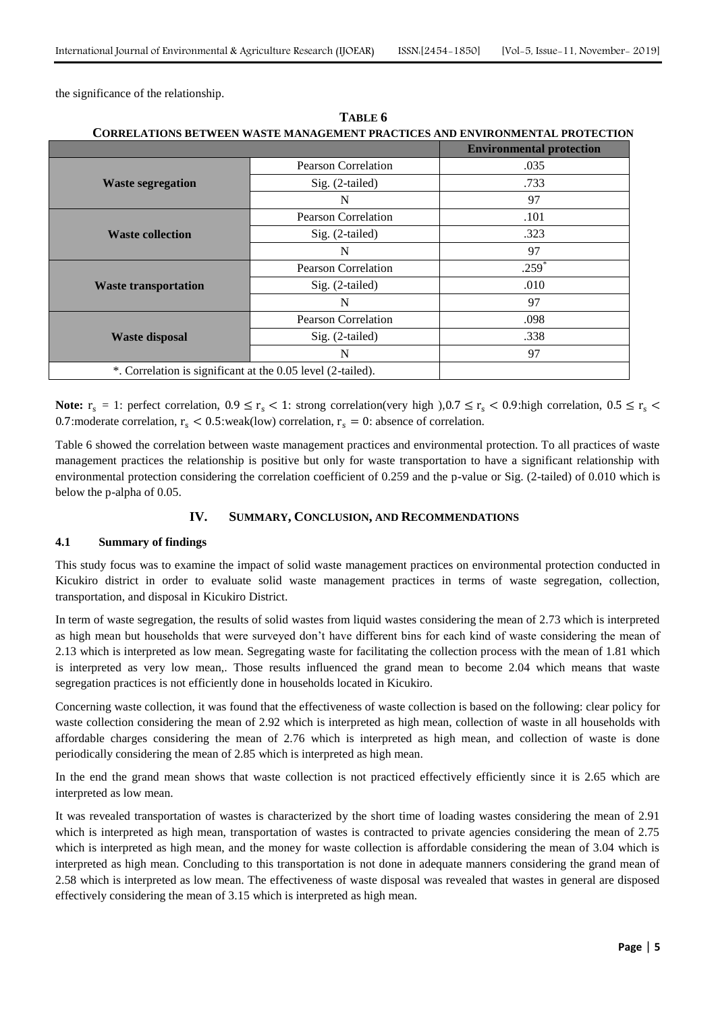the significance of the relationship.

|                             |                            | <b>Environmental protection</b> |
|-----------------------------|----------------------------|---------------------------------|
|                             | <b>Pearson Correlation</b> | .035                            |
| <b>Waste segregation</b>    | Sig. (2-tailed)            | .733                            |
|                             | N                          | 97                              |
|                             | <b>Pearson Correlation</b> | .101                            |
| <b>Waste collection</b>     | Sig. (2-tailed)            | .323                            |
|                             | N                          | 97                              |
|                             | <b>Pearson Correlation</b> | $.259*$                         |
| <b>Waste transportation</b> | Sig. (2-tailed)            | .010                            |
|                             | N                          | 97                              |
|                             | <b>Pearson Correlation</b> | .098                            |
| <b>Waste disposal</b>       | Sig. (2-tailed)            | .338                            |
|                             | N                          | 97                              |

**TABLE 6**

**Note:**  $r_s = 1$ : perfect correlation,  $0.9 \le r_s < 1$ : strong correlation(very high ),  $0.7 \le r_s < 0.9$ : high correlation,  $0.5 \le r_s <$ 0.7: moderate correlation,  $r_s < 0.5$ : weak(low) correlation,  $r_s = 0$ : absence of correlation.

Table 6 showed the correlation between waste management practices and environmental protection. To all practices of waste management practices the relationship is positive but only for waste transportation to have a significant relationship with environmental protection considering the correlation coefficient of 0.259 and the p-value or Sig. (2-tailed) of 0.010 which is below the p-alpha of 0.05.

#### **IV. SUMMARY, CONCLUSION, AND RECOMMENDATIONS**

#### **4.1 Summary of findings**

This study focus was to examine the impact of solid waste management practices on environmental protection conducted in Kicukiro district in order to evaluate solid waste management practices in terms of waste segregation, collection, transportation, and disposal in Kicukiro District.

In term of waste segregation, the results of solid wastes from liquid wastes considering the mean of 2.73 which is interpreted as high mean but households that were surveyed don't have different bins for each kind of waste considering the mean of 2.13 which is interpreted as low mean. Segregating waste for facilitating the collection process with the mean of 1.81 which is interpreted as very low mean,. Those results influenced the grand mean to become 2.04 which means that waste segregation practices is not efficiently done in households located in Kicukiro.

Concerning waste collection, it was found that the effectiveness of waste collection is based on the following: clear policy for waste collection considering the mean of 2.92 which is interpreted as high mean, collection of waste in all households with affordable charges considering the mean of 2.76 which is interpreted as high mean, and collection of waste is done periodically considering the mean of 2.85 which is interpreted as high mean.

In the end the grand mean shows that waste collection is not practiced effectively efficiently since it is 2.65 which are interpreted as low mean.

It was revealed transportation of wastes is characterized by the short time of loading wastes considering the mean of 2.91 which is interpreted as high mean, transportation of wastes is contracted to private agencies considering the mean of 2.75 which is interpreted as high mean, and the money for waste collection is affordable considering the mean of 3.04 which is interpreted as high mean. Concluding to this transportation is not done in adequate manners considering the grand mean of 2.58 which is interpreted as low mean. The effectiveness of waste disposal was revealed that wastes in general are disposed effectively considering the mean of 3.15 which is interpreted as high mean.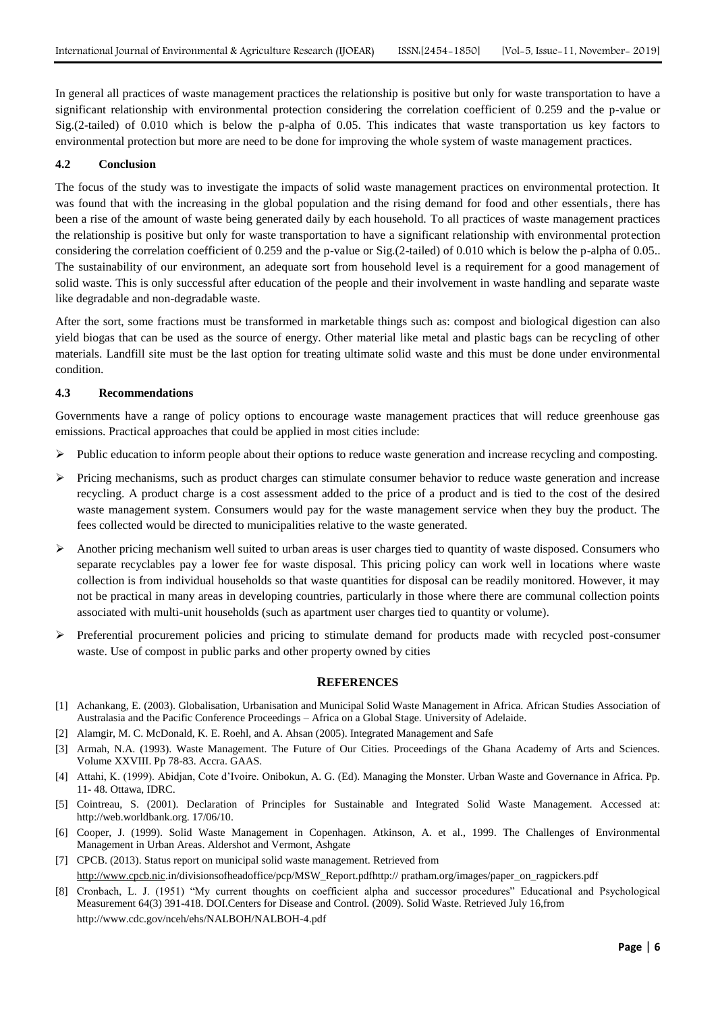In general all practices of waste management practices the relationship is positive but only for waste transportation to have a significant relationship with environmental protection considering the correlation coefficient of 0.259 and the p-value or Sig.(2-tailed) of 0.010 which is below the p-alpha of 0.05. This indicates that waste transportation us key factors to environmental protection but more are need to be done for improving the whole system of waste management practices.

#### **4.2 Conclusion**

The focus of the study was to investigate the impacts of solid waste management practices on environmental protection. It was found that with the increasing in the global population and the rising demand for food and other essentials, there has been a rise of the amount of waste being generated daily by each household. To all practices of waste management practices the relationship is positive but only for waste transportation to have a significant relationship with environmental protection considering the correlation coefficient of 0.259 and the p-value or Sig.(2-tailed) of 0.010 which is below the p-alpha of 0.05.. The sustainability of our environment, an adequate sort from household level is a requirement for a good management of solid waste. This is only successful after education of the people and their involvement in waste handling and separate waste like degradable and non-degradable waste.

After the sort, some fractions must be transformed in marketable things such as: compost and biological digestion can also yield biogas that can be used as the source of energy. Other material like metal and plastic bags can be recycling of other materials. Landfill site must be the last option for treating ultimate solid waste and this must be done under environmental condition.

#### **4.3 Recommendations**

Governments have a range of policy options to encourage waste management practices that will reduce greenhouse gas emissions. Practical approaches that could be applied in most cities include:

- Public education to inform people about their options to reduce waste generation and increase recycling and composting.
- Pricing mechanisms, such as product charges can stimulate consumer behavior to reduce waste generation and increase recycling. A product charge is a cost assessment added to the price of a product and is tied to the cost of the desired waste management system. Consumers would pay for the waste management service when they buy the product. The fees collected would be directed to municipalities relative to the waste generated.
- $\triangleright$  Another pricing mechanism well suited to urban areas is user charges tied to quantity of waste disposed. Consumers who separate recyclables pay a lower fee for waste disposal. This pricing policy can work well in locations where waste collection is from individual households so that waste quantities for disposal can be readily monitored. However, it may not be practical in many areas in developing countries, particularly in those where there are communal collection points associated with multi-unit households (such as apartment user charges tied to quantity or volume).
- $\triangleright$  Preferential procurement policies and pricing to stimulate demand for products made with recycled post-consumer waste. Use of compost in public parks and other property owned by cities

#### **REFERENCES**

- [1] Achankang, E. (2003). Globalisation, Urbanisation and Municipal Solid Waste Management in Africa. African Studies Association of Australasia and the Pacific Conference Proceedings – Africa on a Global Stage. University of Adelaide.
- [2] Alamgir, M. C. McDonald, K. E. Roehl, and A. Ahsan (2005). Integrated Management and Safe
- [3] Armah, N.A. (1993). Waste Management. The Future of Our Cities. Proceedings of the Ghana Academy of Arts and Sciences. Volume XXVIII. Pp 78-83. Accra. GAAS.
- [4] Attahi, K. (1999). Abidjan, Cote d'Ivoire. Onibokun, A. G. (Ed). Managing the Monster. Urban Waste and Governance in Africa. Pp. 11- 48. Ottawa, IDRC.
- [5] Cointreau, S. (2001). Declaration of Principles for Sustainable and Integrated Solid Waste Management. Accessed at: http://web.worldbank.org. 17/06/10.
- [6] Cooper, J. (1999). Solid Waste Management in Copenhagen. Atkinson, A. et al., 1999. The Challenges of Environmental Management in Urban Areas. Aldershot and Vermont, Ashgate
- [7] CPCB. (2013). Status report on municipal solid waste management. Retrieved from [http://www.cpcb.nic.i](http://www.cpcb.nic/)n/divisionsofheadoffice/pcp/MSW\_Report.pdfhttp:// pratham.org/images/paper\_on\_ragpickers.pdf
- [8] Cronbach, L. J. (1951) "My current thoughts on coefficient alpha and successor procedures" Educational and Psychological Measurement 64(3) 391-418. DOI.Centers for Disease and Control. (2009). Solid Waste. Retrieved July 16,from http://www.cdc.gov/nceh/ehs/NALBOH/NALBOH-4.pdf